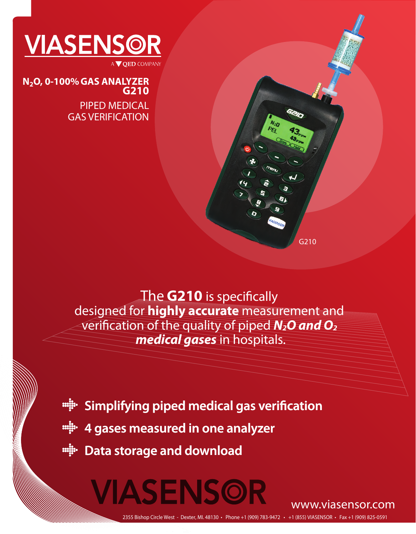

**G210 N2O, 0-100%GAS ANALYZER**

> PIPED MEDICAL GAS VERIFICATION

The **G210** is specifically designed for **highly accurate** measurement and verification of the quality of piped *N<sub>2</sub>O and O<sub>2</sub> medical gases* in hospitals.

**EXA:** Simplifying piped medical gas verification

**4 gases measured in one analyzer**

VIASENSOR

**Pata storage and download** 

www.viasensor.com

G210

2355 Bishop Circle West - Dexter, MI. 48130 • Phone +1 (909) 783-9472 • +1 (855) VIASENSOR • Fax +1 (909) 825-0591